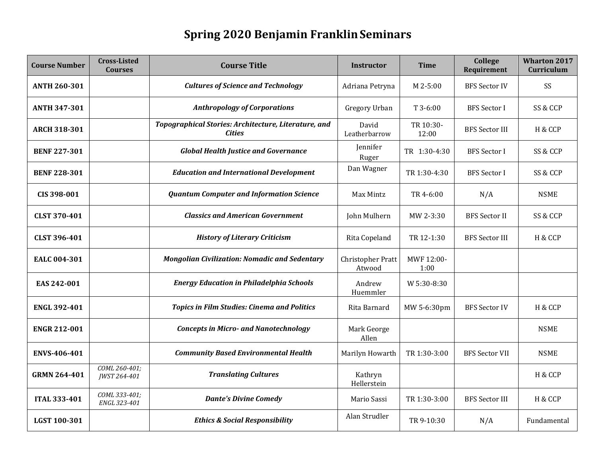## **Spring 2020 Benjamin FranklinSeminars**

| <b>Course Number</b> | <b>Cross-Listed</b><br><b>Courses</b> | <b>Course Title</b>                                                   | <b>Instructor</b>           | <b>Time</b>        | College<br>Requirement | <b>Wharton 2017</b><br>Curriculum |
|----------------------|---------------------------------------|-----------------------------------------------------------------------|-----------------------------|--------------------|------------------------|-----------------------------------|
| <b>ANTH 260-301</b>  |                                       | <b>Cultures of Science and Technology</b>                             | Adriana Petryna             | M 2-5:00           | <b>BFS Sector IV</b>   | SS                                |
| <b>ANTH 347-301</b>  |                                       | <b>Anthropology of Corporations</b>                                   | Gregory Urban               | T 3-6:00           | <b>BFS</b> Sector I    | SS & CCP                          |
| <b>ARCH 318-301</b>  |                                       | Topographical Stories: Architecture, Literature, and<br><b>Cities</b> | David<br>Leatherbarrow      | TR 10:30-<br>12:00 | <b>BFS Sector III</b>  | H & CCP                           |
| <b>BENF 227-301</b>  |                                       | <b>Global Health Justice and Governance</b>                           | Jennifer<br>Ruger           | TR 1:30-4:30       | <b>BFS</b> Sector I    | SS & CCP                          |
| <b>BENF 228-301</b>  |                                       | <b>Education and International Development</b>                        | Dan Wagner                  | TR 1:30-4:30       | <b>BFS</b> Sector I    | SS & CCP                          |
| CIS 398-001          |                                       | <b>Quantum Computer and Information Science</b>                       | Max Mintz                   | TR 4-6:00          | N/A                    | <b>NSME</b>                       |
| <b>CLST 370-401</b>  |                                       | <b>Classics and American Government</b>                               | John Mulhern                | MW 2-3:30          | <b>BFS Sector II</b>   | SS & CCP                          |
| CLST 396-401         |                                       | <b>History of Literary Criticism</b>                                  | Rita Copeland               | TR 12-1:30         | <b>BFS Sector III</b>  | H & CCP                           |
| <b>EALC 004-301</b>  |                                       | <b>Mongolian Civilization: Nomadic and Sedentary</b>                  | Christopher Pratt<br>Atwood | MWF 12:00-<br>1:00 |                        |                                   |
| EAS 242-001          |                                       | <b>Energy Education in Philadelphia Schools</b>                       | Andrew<br>Huemmler          | W 5:30-8:30        |                        |                                   |
| <b>ENGL 392-401</b>  |                                       | <b>Topics in Film Studies: Cinema and Politics</b>                    | Rita Barnard                | MW 5-6:30pm        | <b>BFS Sector IV</b>   | H & CCP                           |
| <b>ENGR 212-001</b>  |                                       | <b>Concepts in Micro- and Nanotechnology</b>                          | Mark George<br>Allen        |                    |                        | <b>NSME</b>                       |
| ENVS-406-401         |                                       | <b>Community Based Environmental Health</b>                           | Marilyn Howarth             | TR 1:30-3:00       | <b>BFS Sector VII</b>  | <b>NSME</b>                       |
| <b>GRMN 264-401</b>  | COML 260-401;<br><b>IWST 264-401</b>  | <b>Translating Cultures</b>                                           | Kathryn<br>Hellerstein      |                    |                        | H & CCP                           |
| <b>ITAL 333-401</b>  | COML 333-401;<br>ENGL 323-401         | <b>Dante's Divine Comedy</b>                                          | Mario Sassi                 | TR 1:30-3:00       | <b>BFS Sector III</b>  | H & CCP                           |
| LGST 100-301         |                                       | <b>Ethics &amp; Social Responsibility</b>                             | Alan Strudler               | TR 9-10:30         | N/A                    | Fundamental                       |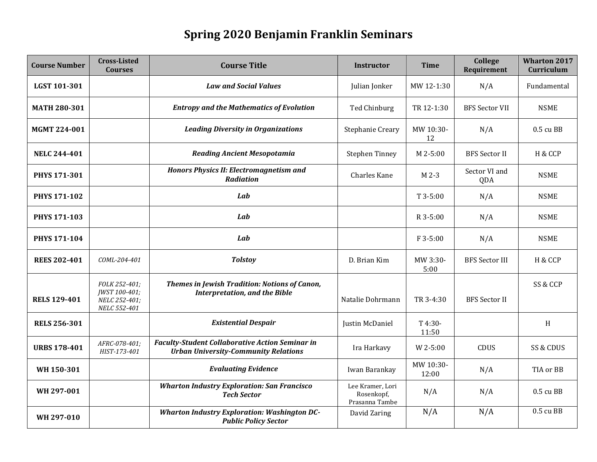## **Spring 2020 Benjamin Franklin Seminars**

| <b>Course Number</b> | <b>Cross-Listed</b><br><b>Courses</b>                           | <b>Course Title</b>                                                                                   | <b>Instructor</b>                                | <b>Time</b>        | <b>College</b><br>Requirement | <b>Wharton 2017</b><br>Curriculum |
|----------------------|-----------------------------------------------------------------|-------------------------------------------------------------------------------------------------------|--------------------------------------------------|--------------------|-------------------------------|-----------------------------------|
| LGST 101-301         |                                                                 | <b>Law and Social Values</b>                                                                          | Julian Jonker                                    | MW 12-1:30         | N/A                           | Fundamental                       |
| <b>MATH 280-301</b>  |                                                                 | <b>Entropy and the Mathematics of Evolution</b>                                                       | Ted Chinburg                                     | TR 12-1:30         | <b>BFS Sector VII</b>         | <b>NSME</b>                       |
| MGMT 224-001         |                                                                 | <b>Leading Diversity in Organizations</b>                                                             | Stephanie Creary                                 | MW 10:30-<br>12    | N/A                           | 0.5 cu BB                         |
| <b>NELC 244-401</b>  |                                                                 | <b>Reading Ancient Mesopotamia</b>                                                                    | <b>Stephen Tinney</b>                            | M 2-5:00           | <b>BFS</b> Sector II          | H & CCP                           |
| <b>PHYS 171-301</b>  |                                                                 | <b>Honors Physics II: Electromagnetism and</b><br><b>Radiation</b>                                    | <b>Charles Kane</b>                              | M 2-3              | Sector VI and<br>QDA          | <b>NSME</b>                       |
| <b>PHYS 171-102</b>  |                                                                 | Lab                                                                                                   |                                                  | $T3-5:00$          | N/A                           | <b>NSME</b>                       |
| <b>PHYS 171-103</b>  |                                                                 | Lab                                                                                                   |                                                  | R 3-5:00           | N/A                           | <b>NSME</b>                       |
| <b>PHYS 171-104</b>  |                                                                 | Lab                                                                                                   |                                                  | F 3-5:00           | N/A                           | <b>NSME</b>                       |
| <b>REES 202-401</b>  | COML-204-401                                                    | <b>Tolstoy</b>                                                                                        | D. Brian Kim                                     | MW 3:30-<br>5:00   | <b>BFS</b> Sector III         | H & CCP                           |
| <b>RELS 129-401</b>  | FOLK 252-401;<br>JWST 100-401;<br>NELC 252-401;<br>NELC 552-401 | Themes in Jewish Tradition: Notions of Canon,<br><b>Interpretation, and the Bible</b>                 | Natalie Dohrmann                                 | TR 3-4:30          | <b>BFS</b> Sector II          | SS & CCP                          |
| <b>RELS 256-301</b>  |                                                                 | <b>Existential Despair</b>                                                                            | Justin McDaniel                                  | T 4:30-<br>11:50   |                               | H                                 |
| <b>URBS 178-401</b>  | AFRC-078-401;<br>HIST-173-401                                   | <b>Faculty-Student Collaborative Action Seminar in</b><br><b>Urban University-Community Relations</b> | Ira Harkavy                                      | W 2-5:00           | CDUS                          | SS & CDUS                         |
| WH 150-301           |                                                                 | <b>Evaluating Evidence</b>                                                                            | Iwan Barankay                                    | MW 10:30-<br>12:00 | N/A                           | TIA or BB                         |
| WH 297-001           |                                                                 | <b>Wharton Industry Exploration: San Francisco</b><br><b>Tech Sector</b>                              | Lee Kramer, Lori<br>Rosenkopf,<br>Prasanna Tambe | N/A                | N/A                           | 0.5 cu BB                         |
| WH 297-010           |                                                                 | <b>Wharton Industry Exploration: Washington DC-</b><br><b>Public Policy Sector</b>                    | David Zaring                                     | N/A                | N/A                           | 0.5 cu BB                         |